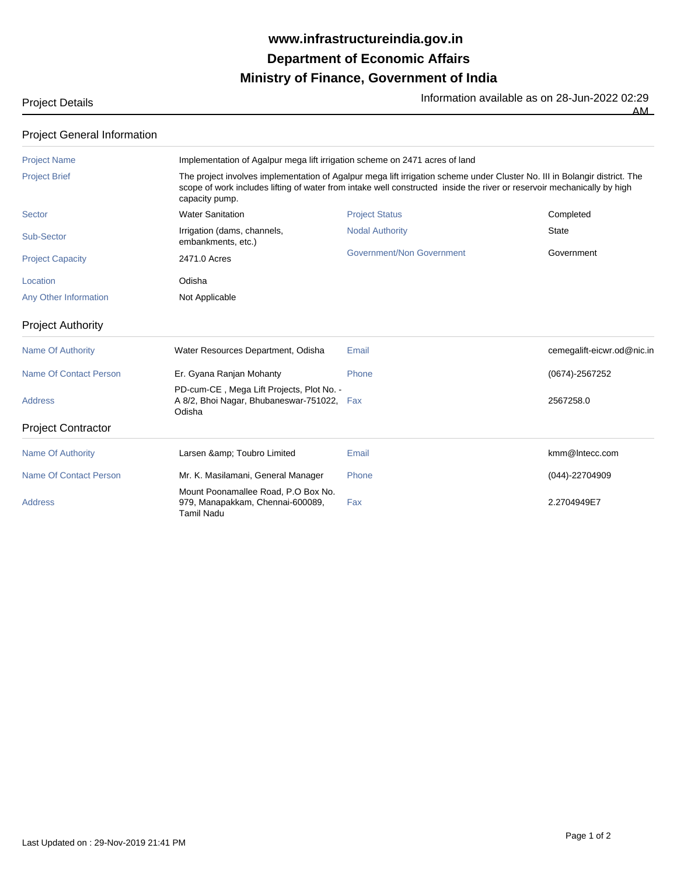## **Ministry of Finance, Government of India Department of Economic Affairs www.infrastructureindia.gov.in**

| <b>Project Details</b> | Information available as on 28-Jun-2022 02:29 |
|------------------------|-----------------------------------------------|
|                        | AM.<br>____                                   |

| <b>Project General Information</b> |                                                                                                                                                                                                                                                                         |                           |                            |  |
|------------------------------------|-------------------------------------------------------------------------------------------------------------------------------------------------------------------------------------------------------------------------------------------------------------------------|---------------------------|----------------------------|--|
| <b>Project Name</b>                | Implementation of Agalpur mega lift irrigation scheme on 2471 acres of land                                                                                                                                                                                             |                           |                            |  |
| <b>Project Brief</b>               | The project involves implementation of Agalpur mega lift irrigation scheme under Cluster No. III in Bolangir district. The<br>scope of work includes lifting of water from intake well constructed inside the river or reservoir mechanically by high<br>capacity pump. |                           |                            |  |
| Sector                             | <b>Water Sanitation</b>                                                                                                                                                                                                                                                 | <b>Project Status</b>     | Completed                  |  |
| Sub-Sector                         | Irrigation (dams, channels,<br>embankments, etc.)                                                                                                                                                                                                                       | <b>Nodal Authority</b>    | <b>State</b>               |  |
| <b>Project Capacity</b>            | 2471.0 Acres                                                                                                                                                                                                                                                            | Government/Non Government | Government                 |  |
| Location                           | Odisha                                                                                                                                                                                                                                                                  |                           |                            |  |
| Any Other Information              | Not Applicable                                                                                                                                                                                                                                                          |                           |                            |  |
| <b>Project Authority</b>           |                                                                                                                                                                                                                                                                         |                           |                            |  |
| Name Of Authority                  | Water Resources Department, Odisha                                                                                                                                                                                                                                      | Email                     | cemegalift-eicwr.od@nic.in |  |
| Name Of Contact Person             | Er. Gyana Ranjan Mohanty                                                                                                                                                                                                                                                | Phone                     | $(0674) - 2567252$         |  |

PD-cum-CE , Mega Lift Projects, Plot No. -

Odisha

## Project Contractor

| Name Of Authority      | Larsen & Toubro Limited                                                               | Email | kmm@Intecc.com     |  |  |
|------------------------|---------------------------------------------------------------------------------------|-------|--------------------|--|--|
| Name Of Contact Person | Mr. K. Masilamani, General Manager                                                    | Phone | $(044) - 22704909$ |  |  |
| Address                | Mount Poonamallee Road, P.O Box No.<br>979, Manapakkam, Chennai-600089,<br>Tamil Nadu | Fax   | 2.2704949E7        |  |  |

Address Fax 2567258.0 A 8/2, Bhoi Nagar, Bhubaneswar-751022,